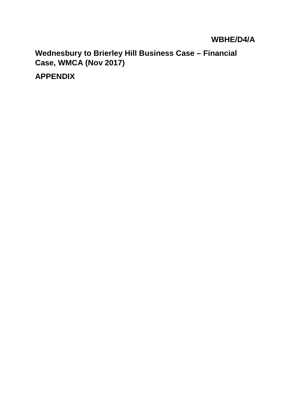**Wednesbury to Brierley Hill Business Case – Financial Case, WMCA (Nov 2017)**

**APPENDIX**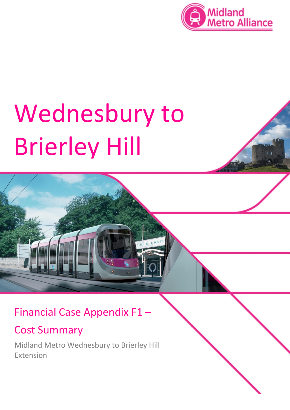

## Wednesbury to Brierley Hill

## Financial Case Appendix F1 –

## Cost Summary

Midland Metro Wednesbury to Brierley Hill Extension